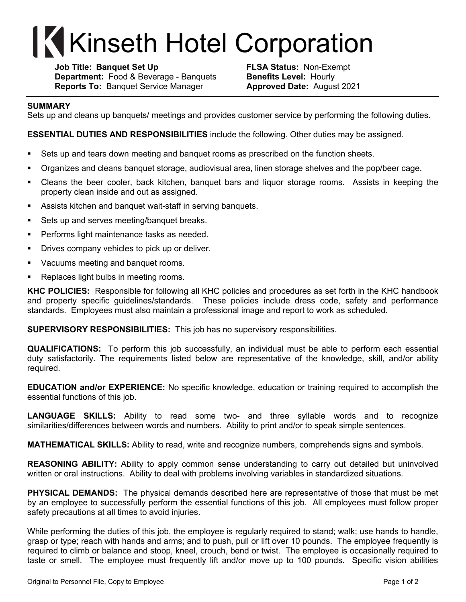## **Kinseth Hotel Corporation**

**Job Title: Banquet Set Up FLSA Status:** Non-Exempt **Department:** Food & Beverage - Banquets **Benefits Level:** Hourly **Reports To:** Banquet Service Manager **Approved Date:** August 2021

## **SUMMARY**

Sets up and cleans up banquets/ meetings and provides customer service by performing the following duties.

**ESSENTIAL DUTIES AND RESPONSIBILITIES** include the following. Other duties may be assigned.

- Sets up and tears down meeting and banquet rooms as prescribed on the function sheets.
- § Organizes and cleans banquet storage, audiovisual area, linen storage shelves and the pop/beer cage.
- Cleans the beer cooler, back kitchen, banquet bars and liquor storage rooms. Assists in keeping the property clean inside and out as assigned.
- Assists kitchen and banquet wait-staff in serving banquets.
- Sets up and serves meeting/banquet breaks.
- **Performs light maintenance tasks as needed.**
- **Drives company vehicles to pick up or deliver.**
- **Vacuums meeting and banquet rooms.**
- Replaces light bulbs in meeting rooms.

**KHC POLICIES:** Responsible for following all KHC policies and procedures as set forth in the KHC handbook and property specific guidelines/standards. These policies include dress code, safety and performance standards. Employees must also maintain a professional image and report to work as scheduled.

**SUPERVISORY RESPONSIBILITIES:** This job has no supervisory responsibilities.

**QUALIFICATIONS:** To perform this job successfully, an individual must be able to perform each essential duty satisfactorily. The requirements listed below are representative of the knowledge, skill, and/or ability required.

**EDUCATION and/or EXPERIENCE:** No specific knowledge, education or training required to accomplish the essential functions of this job.

**LANGUAGE SKILLS:** Ability to read some two- and three syllable words and to recognize similarities/differences between words and numbers. Ability to print and/or to speak simple sentences.

**MATHEMATICAL SKILLS:** Ability to read, write and recognize numbers, comprehends signs and symbols.

**REASONING ABILITY:** Ability to apply common sense understanding to carry out detailed but uninvolved written or oral instructions. Ability to deal with problems involving variables in standardized situations.

**PHYSICAL DEMANDS:** The physical demands described here are representative of those that must be met by an employee to successfully perform the essential functions of this job. All employees must follow proper safety precautions at all times to avoid injuries.

While performing the duties of this job, the employee is regularly required to stand; walk; use hands to handle, grasp or type; reach with hands and arms; and to push, pull or lift over 10 pounds. The employee frequently is required to climb or balance and stoop, kneel, crouch, bend or twist. The employee is occasionally required to taste or smell. The employee must frequently lift and/or move up to 100 pounds. Specific vision abilities